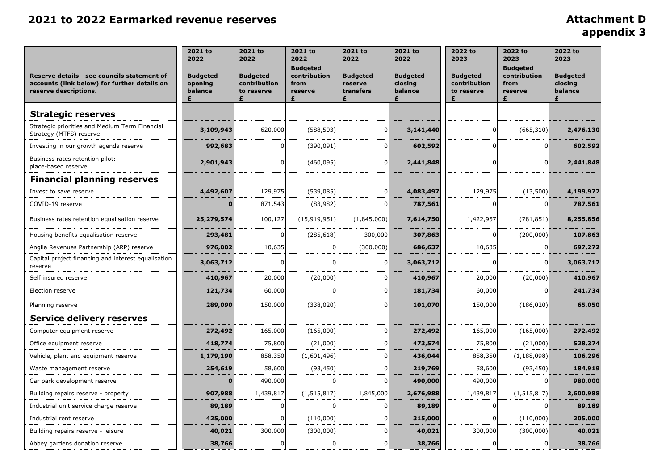# **appendix 3**

| Reserve details - see councils statement of<br>accounts (link below) for further details on<br>reserve descriptions. | 2021 to<br>2022<br><b>Budgeted</b><br>opening<br>balance | 2021 to<br>2022<br><b>Budgeted</b><br>contribution<br>to reserve<br>£ | 2021 to<br>2022<br><b>Budgeted</b><br>contribution<br>from<br>reserve | 2021 to<br>2022<br><b>Budgeted</b><br>reserve<br>transfers | 2021 to<br>2022<br><b>Budgeted</b><br>closing<br>balance<br>£ | 2022 to<br>2023<br><b>Budgeted</b><br>contribution<br>to reserve | 2022 to<br>2023<br><b>Budgeted</b><br>contribution<br>from<br>reserve<br>£ | 2022 to<br>2023<br><b>Budgeted</b><br>closing<br>balance |
|----------------------------------------------------------------------------------------------------------------------|----------------------------------------------------------|-----------------------------------------------------------------------|-----------------------------------------------------------------------|------------------------------------------------------------|---------------------------------------------------------------|------------------------------------------------------------------|----------------------------------------------------------------------------|----------------------------------------------------------|
| <b>Strategic reserves</b>                                                                                            |                                                          |                                                                       |                                                                       |                                                            |                                                               |                                                                  |                                                                            |                                                          |
| Strategic priorities and Medium Term Financial<br>Strategy (MTFS) reserve                                            | 3,109,943                                                | 620,000                                                               | (588, 503)                                                            | 01                                                         | 3,141,440                                                     | $\Omega$                                                         | (665, 310)                                                                 | 2,476,130                                                |
| Investing in our growth agenda reserve                                                                               | 992,683                                                  |                                                                       | (390,091)                                                             |                                                            | 602,592                                                       |                                                                  |                                                                            | 602,592                                                  |
| Business rates retention pilot:<br>place-based reserve                                                               | 2,901,943                                                |                                                                       | (460, 095)                                                            | 0                                                          | 2,441,848                                                     | $\Omega$                                                         |                                                                            | 2,441,848                                                |
| <b>Financial planning reserves</b>                                                                                   |                                                          |                                                                       |                                                                       |                                                            |                                                               |                                                                  |                                                                            |                                                          |
| Invest to save reserve                                                                                               | 4,492,607                                                | 129,975                                                               | (539,085)                                                             |                                                            | 4,083,497                                                     | 129,975                                                          | (13,500)                                                                   | 4,199,972                                                |
| COVID-19 reserve                                                                                                     |                                                          | 871,543                                                               | (83,982)                                                              |                                                            | 787,561                                                       |                                                                  |                                                                            | 787,561                                                  |
| Business rates retention equalisation reserve                                                                        | 25,279,574                                               | 100,127                                                               | (15, 919, 951)                                                        | (1,845,000)                                                | 7,614,750                                                     | 1,422,957                                                        | (781, 851)                                                                 | 8,255,856                                                |
| Housing benefits equalisation reserve                                                                                | 293,481                                                  |                                                                       | (285, 618)                                                            | 300,000                                                    | 307,863                                                       |                                                                  | (200,000)                                                                  | 107,863                                                  |
| Anglia Revenues Partnership (ARP) reserve                                                                            | 976,002                                                  | 10,635                                                                |                                                                       | (300,000)                                                  | 686,637                                                       | 10,635                                                           |                                                                            | 697,272                                                  |
| Capital project financing and interest equalisation<br>reserve                                                       | 3,063,712                                                |                                                                       |                                                                       | 0                                                          | 3,063,712                                                     |                                                                  | 01                                                                         | 3,063,712                                                |
| Self insured reserve                                                                                                 | 410,967                                                  | 20,000                                                                | (20,000)                                                              |                                                            | 410,967                                                       | 20,000                                                           | (20,000)                                                                   | 410,967                                                  |
| Election reserve                                                                                                     | 121,734                                                  | 60,000                                                                |                                                                       |                                                            | 181,734                                                       | 60,000                                                           |                                                                            | 241,734                                                  |
| Planning reserve                                                                                                     | 289,090                                                  | 150,000                                                               | (338, 020)                                                            | 01                                                         | 101,070                                                       | 150,000                                                          | (186, 020)                                                                 | 65,050                                                   |
| <b>Service delivery reserves</b>                                                                                     |                                                          |                                                                       |                                                                       |                                                            |                                                               |                                                                  |                                                                            |                                                          |
| Computer equipment reserve                                                                                           | 272,492                                                  | 165,000                                                               | (165,000)                                                             |                                                            | 272,492                                                       | 165,000                                                          | (165,000)                                                                  | 272,492                                                  |
| Office equipment reserve                                                                                             | 418,774                                                  | 75,800                                                                | (21,000)                                                              |                                                            | 473,574                                                       | 75,800                                                           | (21,000)                                                                   | 528,374                                                  |
| Vehicle, plant and equipment reserve                                                                                 | 1,179,190                                                | 858,350                                                               | (1,601,496)                                                           |                                                            | 436,044                                                       | 858,350                                                          | (1, 188, 098)                                                              | 106,296                                                  |
| Waste management reserve                                                                                             | 254,619                                                  | 58,600                                                                | (93, 450)                                                             |                                                            | 219,769                                                       | 58,600                                                           | (93, 450)                                                                  | 184,919                                                  |
| Car park development reserve                                                                                         |                                                          | 490,000                                                               |                                                                       |                                                            | 490,000                                                       | 490,000                                                          |                                                                            | 980,000                                                  |
| Building repairs reserve - property                                                                                  | 907,988                                                  | 1,439,817                                                             | (1, 515, 817)                                                         | 1,845,000                                                  | 2,676,988                                                     | 1,439,817                                                        | (1, 515, 817)                                                              | 2,600,988                                                |
| Industrial unit service charge reserve                                                                               | 89,189                                                   |                                                                       |                                                                       |                                                            | 89,189                                                        |                                                                  |                                                                            | 89,189                                                   |
| Industrial rent reserve                                                                                              | 425,000                                                  |                                                                       | (110,000)                                                             |                                                            | 315,000                                                       |                                                                  | (110,000)                                                                  | 205,000                                                  |
| Building repairs reserve - leisure                                                                                   | 40,021                                                   | 300,000                                                               | (300,000)                                                             |                                                            | 40,021                                                        | 300,000                                                          | (300,000)                                                                  | 40,021                                                   |
| Abbey gardens donation reserve                                                                                       | 38,766                                                   |                                                                       | 0                                                                     | 01                                                         | 38,766                                                        |                                                                  |                                                                            | 38,766                                                   |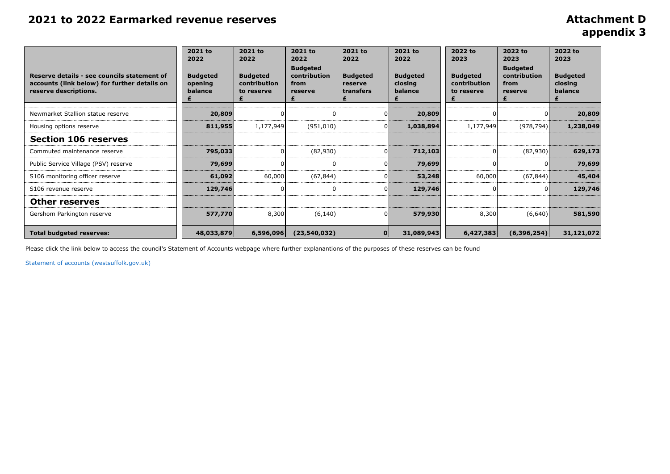**appendix 3**

| Reserve details - see councils statement of<br>accounts (link below) for further details on<br>reserve descriptions. | 2021 to<br>2022<br><b>Budgeted</b><br>opening<br>balance | 2021 to<br>2022<br><b>Budgeted</b><br>contribution<br>to reserve | 2021 to<br>2022<br><b>Budgeted</b><br>contribution<br>from<br>reserve | 2021 to<br>2022<br><b>Budgeted</b><br>reserve<br>transfers | 2021 to<br>2022<br><b>Budgeted</b><br>closing<br>balance | 2022 to<br>2023<br><b>Budgeted</b><br>contribution<br>to reserve | 2022 to<br>2023<br><b>Budgeted</b><br>contribution<br>from<br>reserve | 2022 to<br>2023<br><b>Budgeted</b><br>closing<br>balance |
|----------------------------------------------------------------------------------------------------------------------|----------------------------------------------------------|------------------------------------------------------------------|-----------------------------------------------------------------------|------------------------------------------------------------|----------------------------------------------------------|------------------------------------------------------------------|-----------------------------------------------------------------------|----------------------------------------------------------|
| Newmarket Stallion statue reserve                                                                                    | 20,809                                                   |                                                                  |                                                                       |                                                            | 20,809                                                   |                                                                  |                                                                       | 20,809                                                   |
| Housing options reserve                                                                                              | 811,955                                                  | 1,177,949                                                        | (951, 010)                                                            |                                                            | 1,038,894                                                | 1,177,949                                                        | (978, 794)                                                            | 1,238,049                                                |
| <b>Section 106 reserves</b>                                                                                          |                                                          |                                                                  |                                                                       |                                                            |                                                          |                                                                  |                                                                       |                                                          |
| Commuted maintenance reserve                                                                                         | 795,033                                                  |                                                                  | (82,930)                                                              |                                                            | 712,103                                                  |                                                                  | (82,930)                                                              | 629,173                                                  |
| Public Service Village (PSV) reserve                                                                                 | 79,699                                                   |                                                                  |                                                                       |                                                            | 79,699                                                   |                                                                  |                                                                       | 79,699                                                   |
| S106 monitoring officer reserve                                                                                      | 61,092                                                   | 60,000                                                           | (67, 844)                                                             |                                                            | 53,248                                                   | 60,000                                                           | (67, 844)                                                             | 45,404                                                   |
| S106 revenue reserve                                                                                                 | 129,746                                                  |                                                                  |                                                                       |                                                            | 129,746                                                  |                                                                  |                                                                       | 129,746                                                  |
| <b>Other reserves</b>                                                                                                |                                                          |                                                                  |                                                                       |                                                            |                                                          |                                                                  |                                                                       |                                                          |
| Gershom Parkington reserve                                                                                           | 577,770                                                  | 8,300                                                            | (6, 140)                                                              |                                                            | 579,930                                                  | 8,300                                                            | (6,640)                                                               | 581,590                                                  |
| <b>Total budgeted reserves:</b>                                                                                      | 48,033,879                                               | 6,596,096                                                        | (23, 540, 032)                                                        |                                                            | 31,089,943                                               | 6,427,383                                                        | (6,396,254)                                                           | 31,121,072                                               |

Please click the link below to access the council's Statement of Accounts webpage where further explanantions of the purposes of these reserves can be found

[Statement of accounts \(westsuffolk.gov.uk\)](https://www.westsuffolk.gov.uk/Council/Finance_and_Statistics/statementofaccounts.cfm)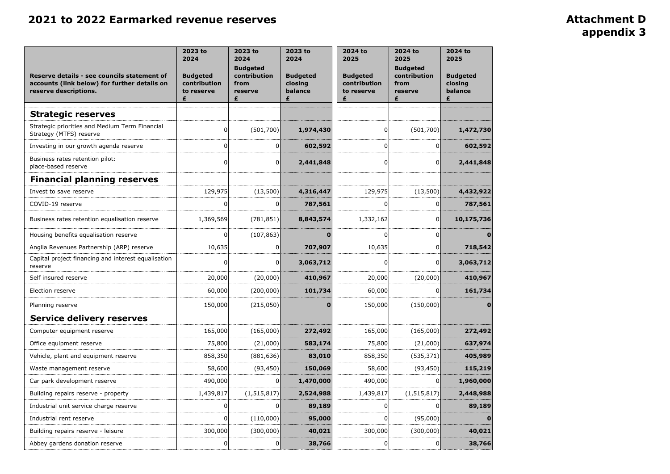# **appendix 3**

| Reserve details - see councils statement of<br>accounts (link below) for further details on<br>reserve descriptions. | 2023 to<br>2024<br><b>Budgeted</b><br>contribution<br>to reserve | 2023 to<br>2024<br><b>Budgeted</b><br>contribution<br>from<br>reserve | 2023 to<br>2024<br><b>Budgeted</b><br>closing<br>balance | 2024 to<br>2025<br><b>Budgeted</b><br>contribution<br>to reserve | 2024 to<br>2025<br><b>Budgeted</b><br>contribution<br>from<br>reserve | 2024 to<br>2025<br><b>Budgeted</b><br>closing<br>balance |
|----------------------------------------------------------------------------------------------------------------------|------------------------------------------------------------------|-----------------------------------------------------------------------|----------------------------------------------------------|------------------------------------------------------------------|-----------------------------------------------------------------------|----------------------------------------------------------|
|                                                                                                                      |                                                                  | £                                                                     | £                                                        |                                                                  | £                                                                     |                                                          |
| <b>Strategic reserves</b>                                                                                            |                                                                  |                                                                       |                                                          |                                                                  |                                                                       |                                                          |
| Strategic priorities and Medium Term Financial<br>Strategy (MTFS) reserve                                            | $\Omega$                                                         | (501,700)                                                             | 1,974,430                                                | C                                                                | (501,700)                                                             | 1,472,730                                                |
| Investing in our growth agenda reserve                                                                               |                                                                  | 0                                                                     | 602,592                                                  |                                                                  |                                                                       | 602,592                                                  |
| Business rates retention pilot:<br>place-based reserve                                                               | $\Omega$                                                         | 01                                                                    | 2,441,848                                                | 0                                                                | 0                                                                     | 2,441,848                                                |
| <b>Financial planning reserves</b>                                                                                   |                                                                  |                                                                       |                                                          |                                                                  |                                                                       |                                                          |
| Invest to save reserve                                                                                               | 129,975                                                          | (13,500)                                                              | 4,316,447                                                | 129,975                                                          | (13,500)                                                              | 4,432,922                                                |
| COVID-19 reserve                                                                                                     |                                                                  | 0                                                                     | 787,561                                                  |                                                                  |                                                                       | 787,561                                                  |
| Business rates retention equalisation reserve                                                                        | 1,369,569                                                        | (781, 851)                                                            | 8,843,574                                                | 1,332,162                                                        |                                                                       | 10,175,736                                               |
| Housing benefits equalisation reserve                                                                                |                                                                  | (107, 863)                                                            | 0                                                        |                                                                  | 0                                                                     |                                                          |
| Anglia Revenues Partnership (ARP) reserve                                                                            | 10,635                                                           | $\Omega$                                                              | 707,907                                                  | 10,635                                                           | 0                                                                     | 718,542                                                  |
| Capital project financing and interest equalisation<br>reserve                                                       | $\Omega$                                                         | $\overline{0}$                                                        | 3,063,712                                                | 0                                                                | 01                                                                    | 3,063,712                                                |
| Self insured reserve                                                                                                 | 20,000                                                           | (20,000)                                                              | 410,967                                                  | 20,000                                                           | (20,000)                                                              | 410,967                                                  |
| Election reserve                                                                                                     | 60,000                                                           | (200,000)                                                             | 101,734                                                  | 60,000                                                           |                                                                       | 161,734                                                  |
| Planning reserve                                                                                                     | 150,000                                                          | (215,050)                                                             | 0                                                        | 150,000                                                          | (150,000)                                                             | 0                                                        |
| <b>Service delivery reserves</b>                                                                                     |                                                                  |                                                                       |                                                          |                                                                  |                                                                       |                                                          |
| Computer equipment reserve                                                                                           | 165,000                                                          | (165,000)                                                             | 272,492                                                  | 165,000                                                          | (165,000)                                                             | 272,492                                                  |
| Office equipment reserve                                                                                             | 75,800                                                           | (21,000)                                                              | 583,174                                                  | 75,800                                                           | (21,000)                                                              | 637,974                                                  |
| Vehicle, plant and equipment reserve                                                                                 | 858,350                                                          | (881, 636)                                                            | 83,010                                                   | 858,350                                                          | (535, 371)                                                            | 405,989                                                  |
| Waste management reserve                                                                                             | 58,600                                                           | (93, 450)                                                             | 150,069                                                  | 58,600                                                           | (93, 450)                                                             | 115,219                                                  |
| Car park development reserve                                                                                         | 490,000                                                          | 0                                                                     | 1,470,000                                                | 490,000                                                          | 0                                                                     | 1,960,000                                                |
| Building repairs reserve - property                                                                                  | 1,439,817                                                        | (1, 515, 817)                                                         | 2,524,988                                                | 1,439,817                                                        | (1, 515, 817)                                                         | 2,448,988                                                |
| Industrial unit service charge reserve                                                                               |                                                                  |                                                                       | 89,189                                                   |                                                                  |                                                                       | 89,189                                                   |
| Industrial rent reserve                                                                                              |                                                                  | (110,000)                                                             | 95,000                                                   |                                                                  | (95,000)                                                              |                                                          |
| Building repairs reserve - leisure                                                                                   | 300,000                                                          | (300,000)                                                             | 40,021                                                   | 300,000                                                          | (300,000)                                                             | 40,021                                                   |
| Abbey gardens donation reserve                                                                                       | <sup>0</sup>                                                     | 01                                                                    | 38,766                                                   | n                                                                | 01                                                                    | 38,766                                                   |